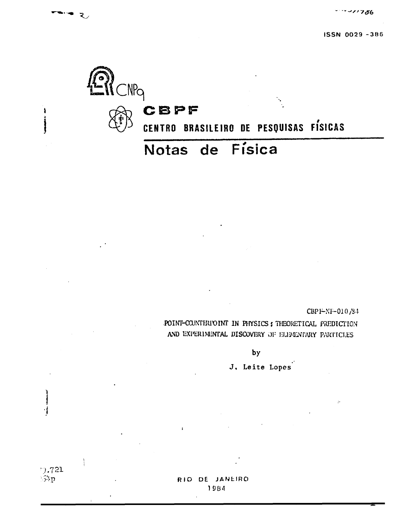

CBPF-NF-010/34

POINT-COUNTERFOINT IN PHYSICS ; THEORETICAL PREDICTION AND EXPERIMENTAL DISCOVERY OF ELEMENTARY PARTICLES

by

J. Leite Lopes

RIO DE JANEIRO 1984

9.721<br>54p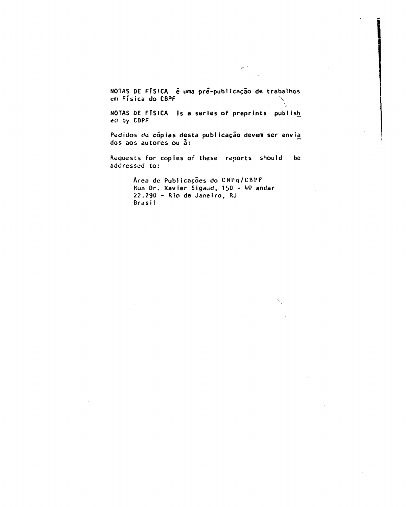**NOTAS DE FÍSICA ê uma pré-pubiicação de trabalhos cm Física do CBPF X**

**NOTAS DE FÍSICA is a series of preprints publish^ ed by CBPF**

**Pedidos de cópias desta publicação devem ser envia\_ dos aos autores ou à:**

**Requescs for copies of these reports should be addressed to:**

> **Area de Publicações do CNI'q/CRPF kua Dr. Xavier Sigaud, 150 - 49 andar 22.230 - Rio de Janeiro, RJ Brasi 1**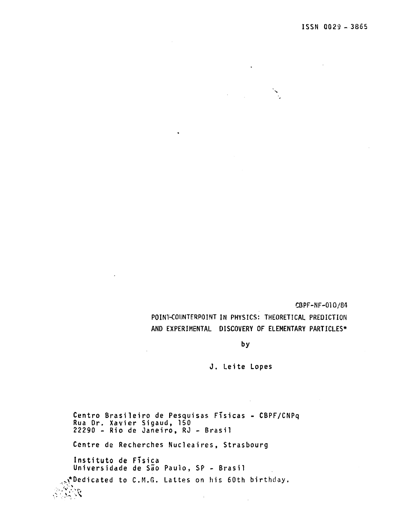CBPF-NF-010/84

POINT-COUNTERPOINT IN PHYSICS: THEORETICAL PREDICTION AND EXPERIMENTAL DISCOVERY OF ELEMENTARY PARTICLES\*

 $\sim 10$ 

by

J. Leite Lopes

 $\sim 10^7$ 

Centro Brasileiro de Pesquisas Físicas - CBPF/CNPq Rua Dr. Xavier Sigaud, 150 22290 - Rio de Janeiro, RJ - Brasil Centre de Recherches Nucleaires, Strasbourg Instituto de Física Universidade de São Paulo, SP - Brasil Pedicated to C.M.G. Lattes on his 60th birthday.

 $\pm$ 

 $\mathcal{L}$ 

 $\sim$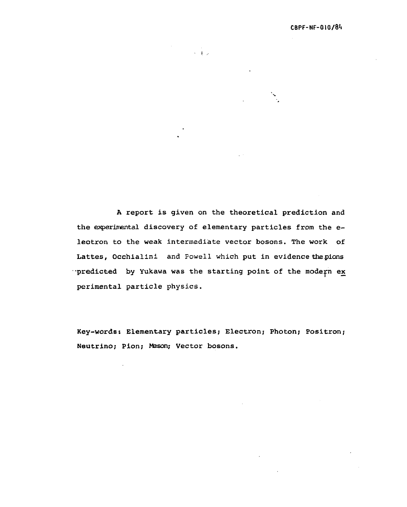A report is given on the theoretical prediction and the experimental discovery of elementary particles from the eleotron to the weak intermediate vector bosons. The work of Lattes, Occhialini and Powell which put in evidence the pions predicted by Yukawa was the starting point of the modern ex perimental particle physics.

 $\mathcal{L}^{\text{max}}_{\text{max}}$ 

Key-words: Elementary particles; Electron; Photon; Positron; Neutrino; Pion; Meson; Vector bosons.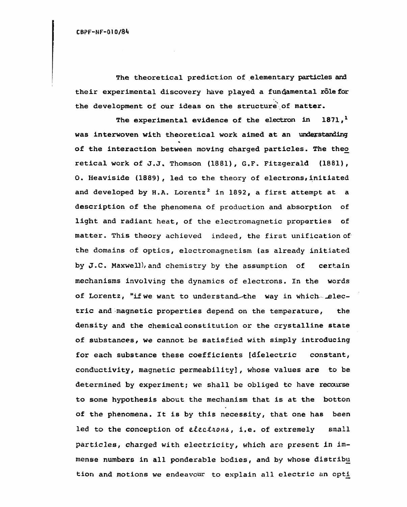The theoretical prediction of elementary particles and their experimental discovery have played a fundamental role for the development of our ideas on the structure' of matter.

The experimental evidence of the electron in  $1871,$ <sup>1</sup> was interwoven with theoretical work aimed at an understanding of the interaction between moving charged particles. The theo retical work of J.J, Thomson (1881), G.F. Fitzgerald (1881), 0. Heaviside (1889), led to the theory of electrons, initiated and developed by H.A. Lorentz<sup>2</sup> in 1892, a first attempt at a description of the phenomena of production and absorption of light and radiant heat, of the electromagnetic properties of matter. This theory achieved indeed, the first unification of the domains of optics, elsctromagnetism (as already initiated by J.C. Maxwell)/and chemistry by the assumption of certain mechanisms involving the dynamics of electrons. In the words of Lorentz, "if we want to understand-the way in which- electric and magnetic properties depend on the temperature, the density and the chemical constitution or the crystalline state of substances, we cannot be satisfied with simply introducing for each substance these coefficients [dielectric constant, conductivity, magnetic permeability], whose values are to be determined by experiment; we shall be obliged to have recourse to some hypothesis about the mechanism that is at the botton of the phenomena. It is by this necessity, that one has been led to the conception of elections, i.e. of extremely small particles, charged with electricity, which are present in immense numbers in all ponderable bodies, and by whose distribu tion and motions we endeavour to explain all electric an opti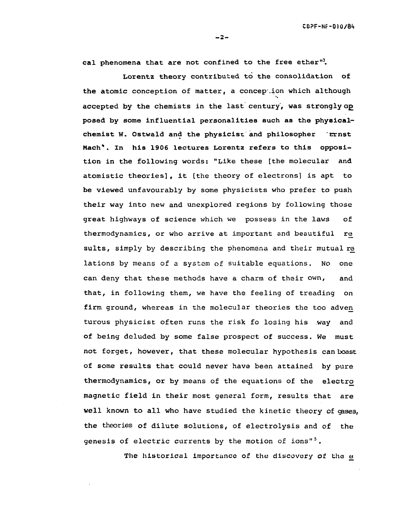cal phenomena that are not confined to the free ether".

Lorentz theory contributed to the consolidation of the atomic conception of matter, a conception which although accepted by the chemists in the last century, was strongly op posed by some influential personalities such as the physicalchemist W. Ostwald and the physicist and philosopher 'Ernst Mach". In his 1906 lectures Lorentz refers to this opposition in the following words: "Like these [the molecular and atomistic theories], it [the theory of electrons] is apt to be viewed unfavourably by some physicists who prefer to push their way into new and unexplored regions by following those great highways of science which we possess in the laws of thermodynamics, or who arrive at important and beautiful re\_ sults, simply by describing the phenomena and their mutual re lations by means of a system of suitable equations. No one can deny that these methods have a charm of their own, and that, in following them, we have the feeling of treading on firm ground, whereas in the molecular theories the too adven turous physicist often runs the risk fo losing his way and of being deluded by some false prospect of success. We must not forget, however, that these molecular hypothesis can boast of some results that could never have been attained by pure thermodynamics, or by means of the equations of the electro magnetic field in their most general form, results that are well known to all who have studied the kinetic theory of gases, the theories of dilute solutions, of electrolysis and of the genesis of electric currents by the motion of ions"<sup>5</sup>.

The historical importance of the discovery of the e

**- 2 -**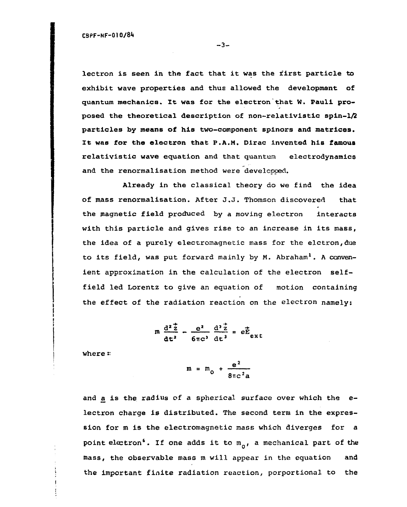lectron is seen in the fact that it was the first particle to exhibit wave properties and thus allowed the development of quantum mechanics. It was for the electron that W. Pauli proposed the theoretical description of non-relativistic spin-1/2 particles by means of his two-component spinors and matrices. It was for the electron that P.A.M. Dlrac invented his famous relativistic wave equation and that quantum electrodynamics and the renormalisation method were developped.

Already in the classical theory do we find the idea of mass renormalisation. After J.J. Thomson discovered that the magnetic field produced by a moving electron interacts with this particle and gives rise to an increase in its mass, the idea of a purely electromagnetic mass for the elctron,due to its field, was put forward mainly by  $M$ . Abraham<sup>1</sup>. A convenient approximation in the calculation of the electron selffield led Lorentz to give an equation of motion containing the effect of the radiation reaction on the electron namely:

$$
m \frac{d^{2} \vec{z}}{dt^{2}} - \frac{e^{2}}{6 \pi c^{3}} \frac{d^{3} \vec{z}}{dt^{3}} = e \vec{E}_{ext}
$$

where:

$$
m = m_0 + \frac{e^2}{8\pi c^2 a}
$$

and a is the radius of a spherical surface over which the  $e$ lectron charge is distributed. The second term in the expression for m is the electromagnetic mass which diverges for a point electron<sup>6</sup>. If one adds it to  $m_0$ , a mechanical part of the mass, the observable mass m will appear in the equation and the important finite radiation reaction, porportional to the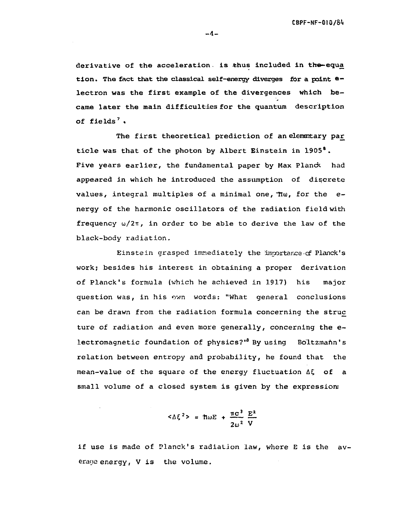derivative of the acceleration. is thus included in the-equa tion. The fact that the classical self-energy diverges for a point  $e$ lectron was the first example of the divergences which became later the main difficulties for the quantum description of fields<sup>7</sup>.

The first theoretical prediction of an elementary par ticle was that of the photon by Albert Einstein in 1905<sup>8</sup>. Five years earlier, the fundamental paper by Max Planck had appeared in which he introduced the assumption of discrete values, integral multiples of a minimal one,  $\pi\omega$ , for the  $e$ nergy of the harmonic oscillators of the radiation field with frequency  $\omega/2\pi$ , in order to be able to derive the law of the black-body radiation.

Einstein grasped immediately the importance cf Planck's work; besides his interest in obtaining a proper derivation of Planck's formula (which he achieved in 1917) his major question was, in his ovm words: "What general conclusions can be drawn from the radiation formula concerning the struc ture of radiation and even more generally, concerning the electromagnetic foundation of physics?"<sup>8</sup> By using Boltzmahn's relation between entropy and probability, he found that the mean-value of the square of the energy fluctuation  $\Delta \xi$  of a small volume of a closed system is given by the expression:

$$
<\Delta \xi^2> = \text{Im}E + \frac{\pi c^3}{2\omega^2} \frac{E^2}{V}
$$

if use is made of Planck's radiation law, where E is the average energy, V is the volume.

 $-4-$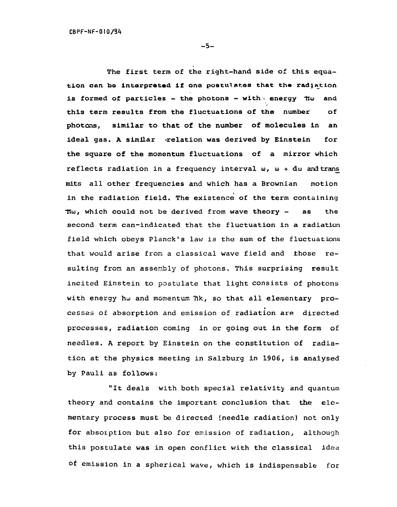**- 5 -**

The first term of the right-hand side of this equation can bo interpreted if one postulates that the radiation is formed of particles - the photons - with energy  $\pi\omega$  and this term results from the fluctuations of the number of photons, similar to that of the number of molecules in an ideal gas. A similar -relation was derived by Einstein for the square of the momentum fluctuations of a mirror which reflects radiation in a frequency interval  $\omega$ ,  $\omega$  + d $\omega$  and trans mits all other frequencies and which has a Brownian motion in the radiation field. The existence of the term containing  $\pi\omega$ , which could not be derived from wave theory - as the second term can-indicated that the fluctuation in a radiation field which obeys Planck's law is the sum of the fluctuations that would arise from a classical wave field and those resulting from an assembly of photons. This surprising result incited Einstein to postulate that light consists of photons with energy hw and momentum  $\hbar k$ , so that all elementary processes of absorption and emission of radiation are directed processes, radiation coming in or going out in the form of needles. A report by Einstein on the constitution of radiation at the physics meeting in Salzburg in 1906, is analysed by Pauli as follows:

"It deals with both special relativity and quantum theory and contains the important conclusion that the elementary process must be directed (needle radiation) not only for absorption but also for emission of radiation, although this postulate was in open conflict with the classical idea of emission in a spherical wave, which is indispensable for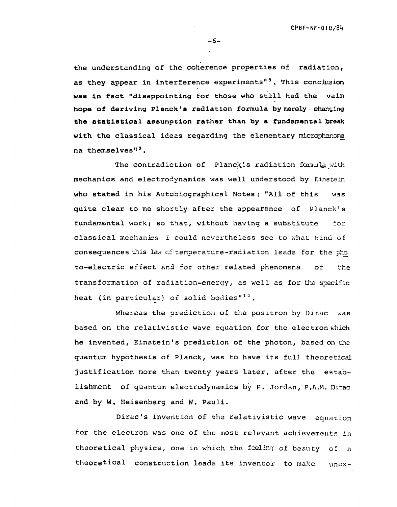**CPBF-NF-Ol 0/8i|**

the understanding of the coherence properties of radiation, as they appear in interference experiments"<sup>9</sup>. This conclusion was in fact "disappointing for those who still had the vain hope of deriving Planck's radiation formula by merely changing the etatiatiaal asoumption rather than by a fundamental break with the classical ideas regarding the elementary microphenome na themselves<sup>"</sup>.

The contradiction of Planck's radiation formula with mechanics and electrodynamics was well understood by Einstein who stated in his Autobiographical Notes: "All of this was quite clear to me shortly after the appearance of Planck's fundamental work; so that, without having a substitute for classical mechanics I could nevertheless see to what kiná of consequences this lav cí temperature-radiation leads for the photo-electric effect and for other related phenomena of the transformation of radiation-energy, as well as for the specific heat (in particular) of solid bodies"<sup>10</sup>.

Whereas the prediction of the positron by Dirac was based on the relativistic wave equation for the electron which he invented, Einstein's prediction of the photon, based on the quantum hypothesis of Planck, was to have its full theoretical justification more than twenty years later, after the establishment of quantum electrodynamics by P. Jordan, P.A.M. Dirac and by W. Heisenberg and W. Pauli.

Dirac's invention of the relativistic wave equation for the electron was one of the most relevant achievements in theoretical physics, one in which the feeling of beauty of a theoretical construction leads its inventor to make unex-

**- 6 -**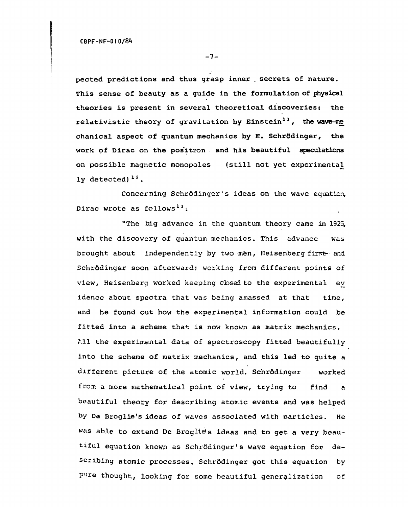pected predictions and thus grasp inner . secrets of nature. This sense of beauty as a guide in the formulation of physical theories is present in several theoretical discoveries: the relativistic theory of gravitation by Einstein<sup>11</sup>, the wave-me chanical aspect of quantum mechanics by E. Schrödinger, the work of Dirac on the pos'itron and his beautiful speculations on possible magnetic monopoles (still not yet experimental ly detected)<sup>12</sup>.

Concerning Schrödinger's ideas on the wave equation, Dirac wrote as follows<sup>13</sup>:

"The big advance in the quantum theory came in 1925, with the discovery of quantum mechanics. This advance was brought about independently by two men, Heisenberg first and Schrôdinger soon afterward; working from different points of view, Heisenberg worked keeping cbsad to the experimental ev idence about spectra that was being amassed at that time, and he found out how the experimental information could be fitted into a scheme that is now known as matrix mechanics,  $i$ .11 the experimental data of spectroscopy fitted beautifully into the scheme of matrix mechanics, and this led to quite a different picture of the atomic world. Schrödinger worked from a more mathematical point of view, trying to find a beautiful theory for describing atomic events and was helped by De Droglie's ideas of waves associated with particles. He Was able to extend De Broglie's ideas and to get a very beautiful equation known as Schrôdinger's wave equation for describing atomic processes, Schrôdinger got this equation by pure thought, looking for some beautiful generalization of

 $-7-$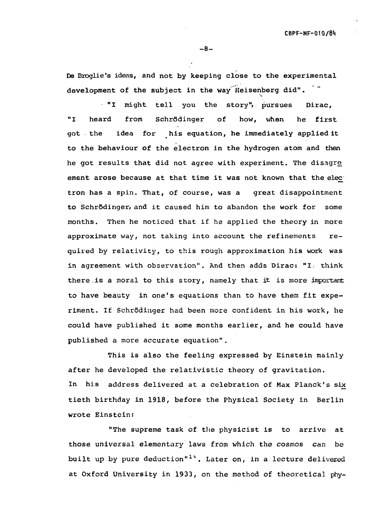De Broglie's ideas, and not by keeping close to the experimental development of the subject in the way Heisenberg did".  $\tilde{ }$ 

"I might tell you the story"» pursues Dirac, "I heard from Schrödinger of how, when he first got the idea for his equation, he immediately applied it to the behaviour of the electron in the hydrogen atom and then he got results that did not agree with experiment. The disagre ement arose because at that time it was not known that the elec tron has a spin. That, of course, was a great disappointment to Schrôdinger, and it caused him to abandon the work for some months. Then he noticed that if he applied the theory in more approximate way, not taking into account the refinements required by relativity, to this rough approximation his work was in agreement with observation". And then adds Dirac: "I: think there is a moral to this story, namely that it is more important to have beauty in one's equations than to have them fit experiment. If Schrödinger had been more confident in his work, he could have published it some months earlier, and he could have published a more accurate equation".

This is also the feeling expressed by Einstein mainly after he developed the relativistic theory of gravitation. In his address delivered at a celebration of Max Planck's six tieth birthday in 1918, before the Physical Society in Berlin wrote Einstein:

"The supreme task of the physicist is to arrive at those universal elementary laws from which the cosmos can be built up by pure deduction"<sup>14</sup>. Later on, in a lecture delivered at Oxford University in 1933, on the method of theoretical phy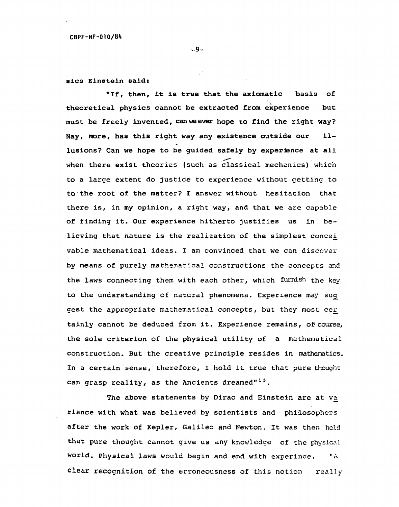**- 9 -**

## sica Einstein said:

"If, then, it is true that the axiomatic basis of theoretical physics cannot be extracted from experience but must be freely invented, can we ever hope to find the right way? Nay, More, has this right way any existence outside our illusions? Can we hope to be guided safely by experience at all when there exist theories (such as classical mechanics) which to a large extent do justice to experience without getting to to the root of the matter? I answer without hesitation that there is, in my opinion, a right way, and that we are capable of finding it. Our experience hitherto justifies us in believing that nature is the realization of the simplest concei. vable mathematical ideas. I am convinced that we can discover by means of purely mathematical constructions the concepts and the laws connecting them with each other, which furnish the key to the understanding of natural phenomena. Experience may sug\_ gest the appropriate mathematical concepts, but they most cer tainly cannot be deduced from it. Experience remains, of course, the sole criterion of the physical utility of a mathematical construction. But the creative principle resides in mathematics. In a certain sense, therefore, I hold it true that pure thought can grasp reality, as the Ancients dreamed"<sup>15</sup>.

The above statements by Dirac and Einstein are at va riance with what was believed by scientists and philosophers after the work of Kepler, Galileo and Newton. It was then held that pure thought cannot give us any knowledge of the physical world. Physical laws would begin and end with experince. "A clear recognition of the erroneousness of this notion really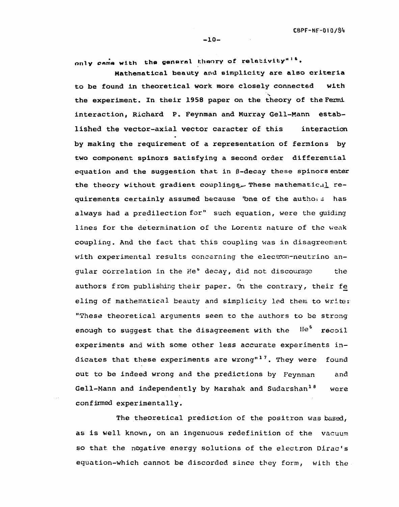only came with the general theory of relativity"<sup>16</sup>.

Mathematical beauty and simplicity are also criteria to be found in theoretical work more closely connected with the experiment. In their 1958 paper on the theory of the Fermi interaction, Richard P. Feynraan and Murray Gell-Mann established the vector-axial vector caracter of this interaction by making the requirement of a representation of fermions by two component spinors satisfying a second order differential equation and the suggestion that in B-decay these spinors enter the theory without gradient couplings. These mathematical requirements certainly assumed because 'bne of the authois has always had a predilection for" such equation, were the guiding lines for the determination of the Lorentz nature of the weak coupling. And the fact that this coupling was in disagreement with experimental results concerning the electron-neutrino angular correlation in the He<sup>6</sup> decay, did not discourage the authors from publishing their paper. On the contrary, their fe eling of mathematical beauty and simplicity led them to write: "These theoretical arguments seem to the authors to be strong enough to suggest that the disagreement with the  ${\rm He}^8$  recoil experiments and with some other less accurate experiments indicates that these experiments are wrong"<sup>17</sup>. They were found out to be indeed wrong and the predictions by Feynman and Gell-Mann and independently by Marshak and Sudarshan<sup>18</sup> were confirmed experimentally.

The theoretical prediction of the positron was based, as is well known, on an ingenuous redefinition of the vacuum so that the negative energy solutions of the electron Dirac's equation-which cannot be discorded since they form, with the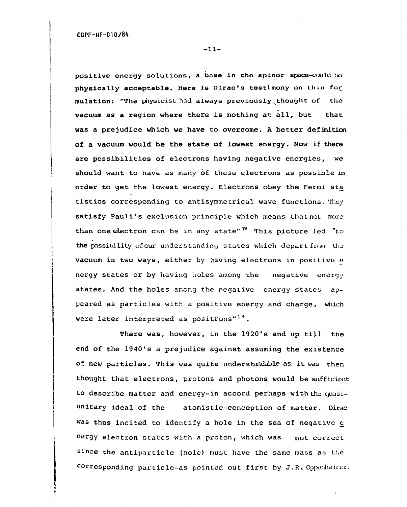-11-

positive energy solutions, a base in the spinor space-could be physically acceptable. Here is Dirac's testimony on this for mulation: "The physicist had always previously thought of the vacuum as a region where there is nothing at all, but that was a prejudice which we have to overcome. A better definition of a vacuum would be the state of lowest energy. Now if there are possibilities of electrons having negative energies, we should want to have as many of these electrons as possible in order to get the lowest energy. Electrons obey the Fermi sta tistics corresponding to antisymmetrical wave functions. They satisfy Pauli's exclusion principle which means that not more than one electron can be in any state"<sup>19</sup> This picture led "to the possibility of our understanding states which depart from the vacuum in two ways, either by having electrons in positive e nergy states or by having holes among the negative energy states. And the holes among the negative energy states appeared as particles with a positive energy and charge, which were later interpreted as positrons"<sup>19</sup>.

There was, however, in the 1920's and up till the end of the 1940's a prejudice against assuming the existence of new particles. This was quite understandable as it was then thought that electrons, protons and photons would be sufficient to describe matter and energy-in accord perhaps with the quasiunitary ideal of the atomistic conception of matter. Dirac was thus incited to identify a hole in the sea of negative  $e$ nergy electron states with a proton, which was not correct since the antiparticle (hole) must have the same mass as the corresponding particle-as pointed out first by J.R. Oppenheimer.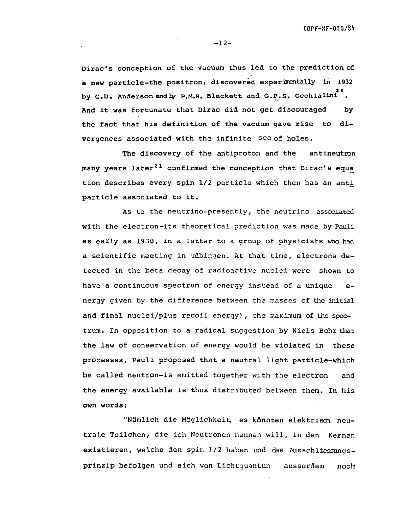$-12-$ 

Dirac's conception of the vacuum thus led to the prediction of a new particle-the positron, discovered experimentally in 1932 **2 0** by C.D. Anderson and  $\frac{1}{2}$  . Philip Blackett and G.P.S. Occhialine . And it was fortunate that Dirac did not get discouraged by<br>the fact that his definition of the vacuum gave rise to divergences associated with the infinite sea of holes.

The discovery of the antiproton and the antineutron many years later<sup>21</sup> confirmed the conception that Dirac's equa many years later<sup>21</sup> confirmed the conception that Dirac's equci tion describes every spin 1/2 particle which then has an anti particle associated to it.<br>As to the neutrino-presently, the neutrino associated

with the electron-its theoretical prediction was made by Pauli as early as 1930, in a letter to a group of physicists who had a scientific meeting in Tübingen. At that time, electrons detected in the beta decay of radioactive nuclei were shown to have a continuous spectrum of energy instead of a unique sehave a continuous spectrum of energy instead of a unique e-dimensional of a unique e-dimensional of a unique e<br>The continuous spectrum of a unique e-dimensional of a unique e-dimensional of a unique e-dimensional of a uni  $\frac{1}{2}$  given by the difference between the masses of the initial and final nuclei/plus recoil energy), the maximum of the spectrum. In opposition to a radical suggestion by Niels Bohr that the law of conservation of energy would be violated in these processes, Pauli proposed that a neutral light particle-which be called neutron-is emitted together with the electron and the energy available is thus distributed between them. In his own words:

"Nämlich die Möglichkeit, es könnten elektrisch, neutrale Teilchen, die ich Neutronen nennen will, in den Kernen existieren, welche den spin 1/2 haben und das Ausschliessungsprinzip befolgen und sich von Lichtquantun ausserdem noch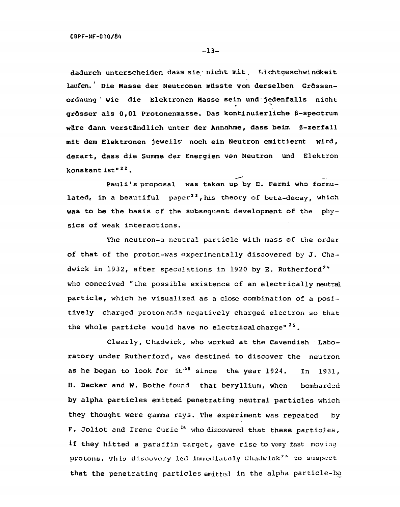dadurch unterscheiden dass sie nicht mit. Lichtgeschwindkeit laufen.' Die Masse der Neutronen müsste von derselben Grössenordnung ' wie die Elektronen Hasse sein und jedenfalls nicht grösser als 0,01 Protonenmasse. Das kontinuierliche ß-spectrum wäre dann verständlich unter der Annahme, dass beim ß-zerfall mit dem Elektronen jeweils\* noch ein Neutron emittiernt wird, derart, dass die Summe der Energien von Neutron und Elektron konstant ist"<sup>22</sup>.

Pauli's proposal was taken up by E. Fermi who formulated, in a beautiful paper<sup>23</sup>, his theory of beta-decay, which was to be the basis of the subsequent development of the physics of weak interactions.

The neutron-a neutral particle with mass of the order of that of the proton-was experimentally discovered by J. Chadwick in 1932, after speculations in 1920 by E. Rutherford<sup>24</sup> who conceived "the possible existence of an electrically neutral particle, which he visualized as a close combination of a positively charged proton anda negatively charged electron so that the whole particle would have no electrical charge"<sup>25</sup>.

Clearly, Chadwick, who worked at the Cavendish Laboratory under Rutherford, was destined to discover the neutron as he began to look for it<sup>25</sup> since the year 1924. In 1931, H. Becker and W. Bothe found that beryllium, when bombarded by alpha particles emitted penetrating neutral particles which they thought were gamma rays. The experiment was repeated by F. Joliot and Irene Curie<sup>26</sup> who discovered that these particles, if they hitted a paraffin target, gave rise to very fast moving protons. This discovery led immediately Chadwick<sup>26</sup> to suspect that the penetrating particles emitted in the alpha particle-be

**-13 -**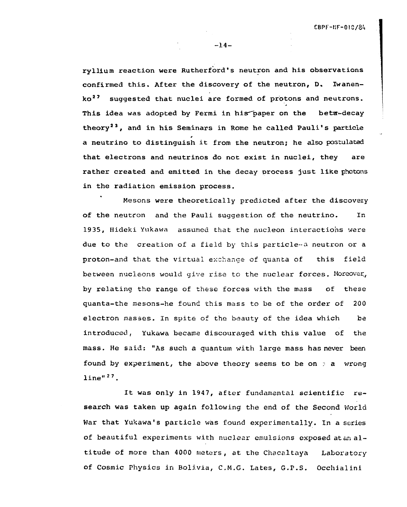**-14 -**

ryIlium reaction were Rutherford's neutron and his observations confirmed this. After the discovery of the neutron, D. Iwanenko<sup>27</sup> suggested that nuclei are formed of protons and neutrons. This idea was adopted by Fermi in his paper on the beta-decay theory<sup>23</sup>, and in his Seminars in Rome he called Pauli's particle 0 a neutrino to distinguish it from the neutron; he also postulated that electrons and neutrinos do not exist in nuclei, they are rather created and emitted in the decay process just like photons in the radiation emission process.

Mesons were theoretically predicted after the discovery In of the neutron and the Pauli suggestion of the neutrino. In 19 35, Hideki Yukawa assumed that the nucleon interactions were due to the creation of a field by the creation of a field by this particle-a neutron or a neutron or a neutron or a neutron or a  $\mathcal{A}$ this field proton-and that the virtual exchange of  $\mathcal{L}$  the virtual exchange of  $\mathcal{L}$ between nucieons would give rise to the nuclear forces. Moreover., by relating the range of these forces with the mass of these 200  $\sigma$  the found this mesons-he found this mass to be order of the order of  $200$ electron masses. In spite of the beauty of the idea which be introduced, Yukawa became discouraged with this value of the mass. He said: "As such a quantum with large mass has never been found by experiment, the above theory seems to be on  $\phi$  a wrong line"<sup>27</sup>.

It was only in 1947, after fundamental scientific research was taken up again following the end of the Second World War that Yukawa's particle was found experimentally. In a series of beautiful experiments with nuclear emulsions exposed at an altitude of more than 4000 meters, at the Chacaltaya Laboratory of Cosmic Physics in Bolivia, C.M.G. Lates, G.P.S. Occhialini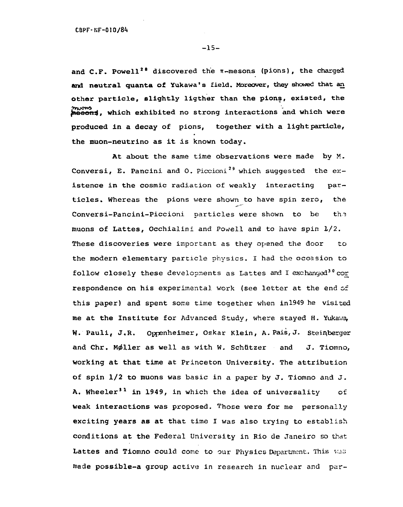-15-

and C.F. Powell<sup>28</sup> discovered the  $\pi$ -mesons (pions), the charged and neutral quanta of Yukawa's field. Moreover, they showed that an other particle, slightly ligther than the pions, existed, the mesons, which exhibited no strong interactions and which were produced in a decay of pions, together with a light particle, the muon-neutrino as it is known today.

At about the same time observations were made by M. Conversi, E. Pancini and O. Piccioni<sup>29</sup> which suggested the existence in the cosmic radiation of weakly interacting particles. Whereas the pions were shown to have spin zero, the Conversi-Pancini-Piccioni particles were shown to be the muons of Lattes, Occhialini and Powell and to have spin 1/2. These discoveries were important as they opened the door to the modern elementary particle physics. I had the occasion to follow closely these developments as Lattes and I exchanged<sup>30</sup> cor respondence on his experimental work (see letter at the end of this paper) and spent some time together when inl949 he visited me at the Institute for Advanced Study, where stayed H. Yukawa, W. Pauli, J.R. Oppenheimer, Oskar Klein, A. Pais, J. Steinberger and Chr. Møller as well as with W. Schützer and J. Tiomno, working at that time at Princeton University. The attribution of spin 1/2 to muons was basic in a paper by J. Tiomno and J. A. Wheeler<sup>31</sup> in 1949, in which the idea of universality of weak interactions was proposed. Those were for me personally exciting years as at that time I was also trying to establish conditions at the Federal University in Rio de Janeiro so that Lattes and Tiomno could come to our Physics Department. This WAS made possible-a group active in research in nuclear and par-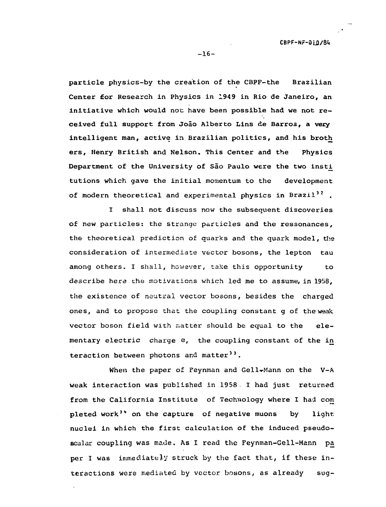particle physics-by the creation of the CBPF-the Brazilian Center for Research in Physics in 1949 in Rio de Janeiro, an initiative which would not have been possible had we not received full support from João Alberto Lins de Barros, a very intelligent man, active in Brazilian politics, and his broth ers, Henry British and Nelson. This Center and the Physics Department of the University of São Paulo were the two insti tutions which gave the initial momentum to the development of modern theoretical and experimental physics in Brazil<sup>32</sup>.

I shall not discuss now the subsequent discoveries of new particles: the strange particles and the ressonances, the theoretical prediction of quarks and the quark model, the consideration of intermediate vector bosons, the lepton tau among others. I shall, however, take this opportunity to describe here che motivations which led me to assume, in 1958, the existence of neutral vector bosons, besides the charged ones, and to propose that the coupling constant g of the weak vector boson field with matter should be equal to the elementary electric charge e, the coupling constant of the in teraction between photons and matter<sup>33</sup>.

When the paper of Feynman and Gell-Mann on the V-A weak interaction was published in 1958. I had just returned from the California Institute of Technology where I had com pleted work<sup>34</sup> on the capture of negative muons by light. nuclei in which the first calculation of the induced pseudoscalar coupling was made. As I read the Feynman-Gell-Mann pa per I was immediately struck by the fact that, if these interactions were mediated by vector bosons, as already sug-

 $-16-$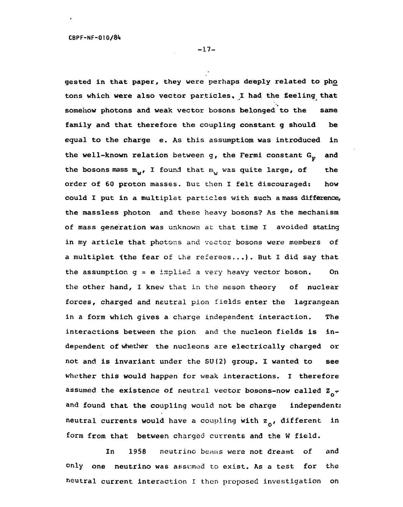**-17 -**

gested in that paper, they were perhaps deeply related to pho tons which were also vector particles, I had the feeling that somehow photons and weak vector bosons belonged to the same family and that therefore the coupling constant g should be equal to the charge e. As this assumptiom was introduced in the well-known relation between g, the Fermi constant  $G_F$  and the bosons mass  $m_{\alpha}$ , I found that  $m_{\alpha}$  was quite large, of the order of 60 proton masses. But then I felt discouraged: how could I put in a multiplet particles with such amass difference, the massless photon and these heavy bosons? As the mechanism of mass generation was unknown at that time I avoided stating in my article that photons and vector bosons were members of a multiplet (the fear of the referees...). But I did say that the assumption  $g = e$  implied a very heavy vector boson. On the other hand, I knew that in the meson theory of nuclear forces, charged and neutral pion fields enter the lagrangean in a form which gives a charge independent interaction. The interactions between the pion and the nucleon fields is independent of whether the nucleons are electrically charged or not and is invariant under the SU(2) group. I wanted to see whether this would happen for weak interactions. I therefore assumed the existence of neutral vector bosons-now called  $z_{0}$ and found that the coupling would not be charge independent: neutral currents would have a coupling with  $z_{0}$ , different in form from that between charged currents and the W field.

and In 1958 neutrino beams were not dreamt of and the on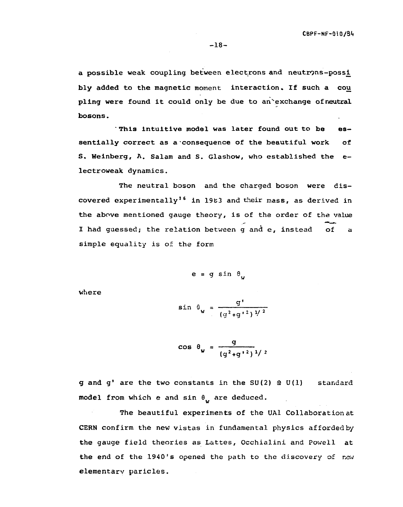a possible weak coupling between electrons and neutrons-possi bly added to the magnetic moment interaction. If such a cou pling were found it could only be due to an'exchange ofneutral bosons.

" This intuitive model was later found out to be essentially correct as a consequence of the beautiful work of S. Weinberg, A. Salam and S. Glashow, who established the electroweak dynamics.

The neutral boson and the charged boson were discovered experimentally<sup>36</sup> in 1983 and their mass, as derived in the above mentioned gauge theory, is of the order of the value I had guessed; the relation between g and e, instead of a simple equality is of the form

$$
e = g \sin \theta
$$

where

$$
\sin \theta_{w} = \frac{g'}{(g^2 + g'^2)^{1/2}}
$$

$$
\cos \theta_{\mathbf{w}} = \frac{g}{(g^2 + g^{12})^{1/2}}
$$

g and g' are the two constants in the SU(2)  $\Omega$  U(1) standard model from which e and sin  $\theta_{11}$  are deduced.

The beautiful experiments of the UAl Collaboration at CERN confirm the new vistas in fundamental physics afforded by the gauge field theories as Lattes, Occhialini and Powell at the end of the 1940's opened the path to the discovery of new elementary paricles.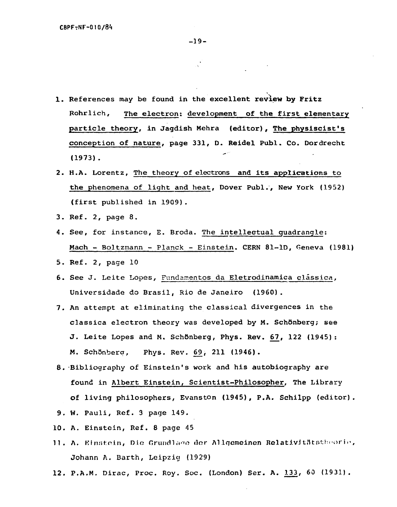- 1. References may be found in the **excellent review by Fritz** Rohrlich, The electron: development of **the** first elementary particle theory, in Jagdish Mehra (editor), The physiscist's conception of nature, page 331, D. Reidel Publ. Co. Dordrecht (1973).
- 2. H.A. Lorentz, The theory of electrons and its applications to the phenomena of light and heat, Dover Publ., New York (1952) (first published in 19Q9).
- 3. Ref. 2, page 8.
- 4. See, for instance, E. Broda. The intellectual quadrangle; Mach - Boltzmann - Planck - Einstein. CERN 81-lD, Geneva (1981)
- 5. Ref. 2, page 10
- 6. See J. Leite Lopes, Fundamentos da Eletrodinamica clássica, Universidade do Brasil, Rio de Janeiro (1960) .
- 7. An attempt at eliminating the classical divergences in the classica electron theory was developed by M. Schönberg; see J. Leite Lopes and M. Schönberg, Phys. Rev. 67, 122 (1945): M. Schönberg, Phys. Rev. 69, 211 (1946).
- 8. Bibliography of Einstein's work and his autobiography are found in Albert Einstein, Scientist-Philosopher, The Library of living philosophers, Evanston (1945), P.A. Schilpp (editor).
- 9. W. Pauli, Ref. 3 page 149.
- 10. A. Einstein, Ref. 8 page 45
- 11. A. Einstein, Die Grundlage der Allgemeinen Relativitätstheorie, Johann A. Barth, Leipzig (1929)
- 12. P.A.M. Dirac, Proc. Roy. Soc. (London) Ser. A. 133, 60 (1931).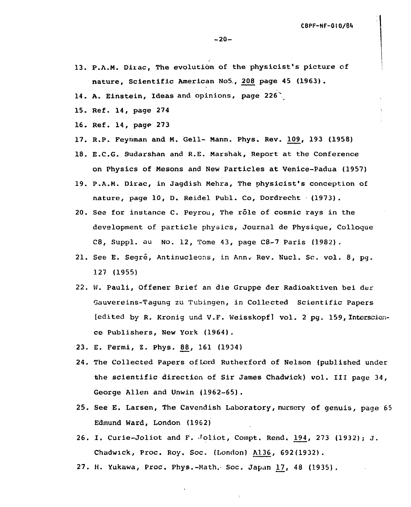- 13. P.A.M. Dirac, The evolution of the physicist's picture of nature, Scientific American No5., 208 page 45 (1963) .
- 14. A. Einstein, Ideas and opinions, page 226\*
- 15. Ref. 14, page 274
- 16. Ref. 14, page 273
- 17. R.P. Feynraan and M. Gell- Mann. Phys. Rev. 109, 193 (1958)
- 18. E.C.G. 9udarshan and R.E. Marshak, Report at the Conference on Physics of Mesons and New Particles at Venice-Padua (1957)
- 19. P.A.M. Dirac, in Jagdish Mehra, The physicist's conception of nature, page 10, D. Reidel Publ. Co, Dordrecht (1973).
- 20. See for instance C. Peyrou, The role of cosmic rays in the development of particle physics, Journal de Physique, Colloque C8, Suppl. au No. 12, Tome 43, page C8-7 Paris (1982) .
- 21. See E. Segré, Antinucleons, in Ann. Rev. Nucl. Sc. vol. 8, pq. 127 (1955)
- 22. W. Pauli, Offener Brief an die Gruppe der Radioaktiven bei der Gauvereins-Tagung zu Tubingen, in Collected Scientific Papers [edited by R. Kronig und V.F. Weisskopf] vol. 2 pg. 159, Interscience Publishers, New York (1964).
- 23. E. Fermi, Z. Phys. 88, 161 (1934)
- 24. The Collected Papers of Lord Rutherford of Nelson (published under the scientific direction of Sir James Chadwick) vol. Ill page 34, George Allen and Unwin (1962-65).
- 25. See E. Larsen, The Cavendish Laboratory, nursery of genuis, page 65 Edmund Ward, London (1962)
- 26. I. Curie-Joliot and F.  $J$ oliot, Compt. Rend. 194, 273 (1932); J. Chadwick, Proc. Roy. Soc. (London) A136, 692(1932).
- 27. H. Yukawa, Proc. Phys.-Math. Soc. Japan 17, 48 (1935).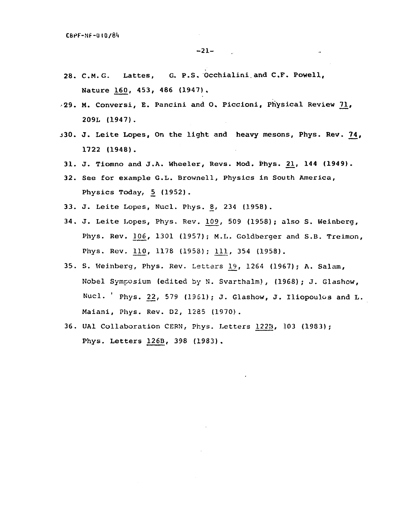- **28. C.M.G. Lattes, G. P.S. Occhialini.and C.F. Powell, Nature 16\_£, 453, 486 (1947).**
- **•29. M. Conversi, E. Pancini and O. Piccioni, Physical Review 71, 209L (1947).**
- **J30 . J. Leite Lopes, On the light and heavy mesons, Phys. Rev. 74, 1722 (1948).**
- **31. J. Tiomno and J.A. Wheeler, Revs. Mod. Phys. £1, 144 (1949).**
- **32.** See for example G.L. Brownell, Physics in South America, Physics Today, 5 (1952).
- 33. J. Leite Lopes, Nucl. Phys. 8, 234 (1958).
- 34. J. Leite Lopes, Phys. Rev. 109, 509 (1958); also S. Weinberg, Phys. Rev. 106, 1301 (1957); M.L. Goldberger and S.B. Treimon, Phys. Rev. 110, 1178 (1958); 111, 354 (1958).
- 35. S. Weinberg, Phys. Rev. Letters 19, 1264 (1967); A. Salam, Nobel Symposium (edited by N. Svarthalm), (1968); J. Glashow, Nucl. ' Phys. 22, 579 (1951); J. Glashow, J. Iliopoulos and L. Maiani, Phys. Rev. D2, 1285 (1970).
- 36. UA1 Collaboration CERN, Phys. Letters 12213, 103 (1983); Phys. Letters 126B, 398 (1983).

 $\ddot{\phantom{a}}$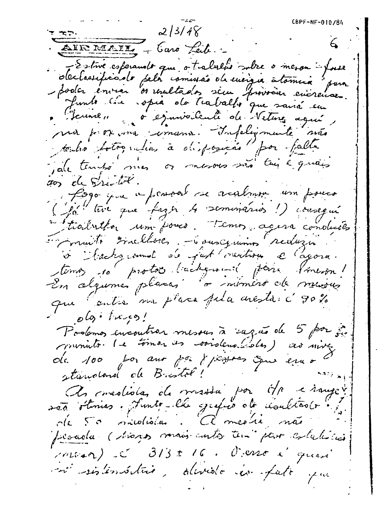$CBPF-NF-010/84$  $213/48$  $\epsilon$ EIR MAIL - Caro Leit. declarificante pela comissão de missão internacionale Junto lie opia do tratallo que sairá em Deune, o ejanvoiente de Veture agué, ma por una comana. Infeligmente sua toutro totogratias à disposição por falla ale tempo mes or mesous son tui e quais 200 de Suite. fogo que a pravad se acalma un pouco (par tive que faz en 4 seminarios!) consegui subtrailutés um fouco. Temos agera conductes Emmuito Grallones. - Gouscquiring reduzion à l'actegionnet de fast mention e l'agora. terno 10 protos lachques pour fineron! que centre ma placa pela crésta: c'90%  $olo.$ Prolomos encontros mesous à ragão de 5 por ja monto. Le tomar un vordenables) as niver de 100 por aux pais j'issues que en o standard de Bristol! As mediotas de messie por Mr cinques são stinias. Junto-lle grafia da cloublão (r.) de 50 millolistas. A mestie, não percela (sions mais ants tem per estatício mont d'313 + 16. Ocens à quan mi sistembilité, dévidé en pati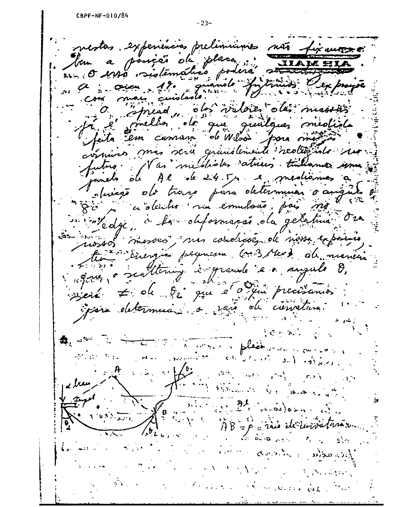nestas. experiencias preliminais não fixantes ben a posição de placa IIAM a "prend, des valoies dés massies" commins mas sera quinstemente realitions. utro. Nas mudiades atrices tubemes o o angu sluigo do traco para determinar que ciolentes ma emulsão, pais mo intedicción la obternação da geletima mossos mesorios, mas condicões de nossa exposicio tin Energion permessa (au 3 Mars du marien Since a sentitiving à grande en angule de Bein 7 ok 82 que 2 0 qui precisants joins determins, a sais de cienture.  $\mathcal{C} \times \mathbb{R}$  . ● 250 TO porter of place of the  $\mathbb{R}^n$  ,  $\mathbb{R}^n$  ,  $\mathbb{R}^n$  ,  $\mathbb{R}^n$  $\label{eq:2.1} \frac{\partial \mathcal{L}^2}{\partial \mathcal{L}^2} \frac{1}{2\pi} \mathcal{L}^2 = \frac{1}{2} \mathcal{L}^2 \frac{1}{2\pi} \mathcal{L}^2 \frac{1}{2\pi} \mathcal{L}^2 \frac{1}{2\pi} \mathcal{L}^2 \frac{1}{2\pi} \mathcal{L}^2 \frac{1}{2\pi} \mathcal{L}^2 \frac{1}{2\pi} \mathcal{L}^2 \frac{1}{2\pi} \mathcal{L}^2 \frac{1}{2\pi} \mathcal{L}^2 \frac{1}{2\pi} \mathcal{L}^2 \$  $\mathbf{a}$  $\delta_{\rm{max}}$  $3 - 1$  $1.12.1410$ **CAMAL STANDAR** ل و المحدد الأولاد Bennes planner AB=p=rais de curvatura Below the first  $\frac{1}{2}$   $\frac{1}{2}$   $\frac{1}{2}$   $\frac{1}{2}$   $\frac{1}{2}$   $\frac{1}{2}$   $\frac{1}{2}$   $\frac{1}{2}$   $\frac{1}{2}$   $\frac{1}{2}$   $\frac{1}{2}$   $\frac{1}{2}$   $\frac{1}{2}$   $\frac{1}{2}$   $\frac{1}{2}$   $\frac{1}{2}$   $\frac{1}{2}$   $\frac{1}{2}$   $\frac{1}{2}$   $\frac{1}{2}$   $\frac{1}{2}$   $\frac{1}{2}$   $\overline{X}$ a comme desirado palaceas  $\mathbf{H}_{\text{max}}$  $\mathcal{L}=\sum_{i=1}^n\mathcal{L}_i$ a contractor de moderno de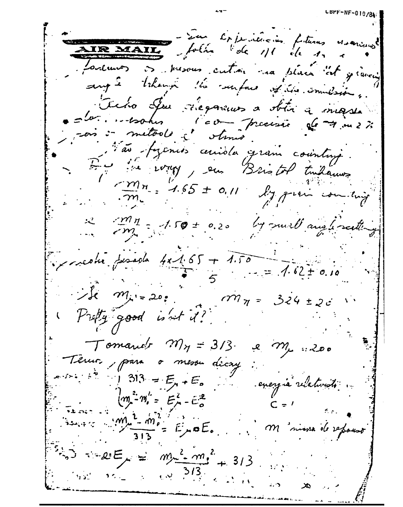La Capitulien futures visarings AIR MAIL folio de 1/1 de 1. Journant et pressous cution ma place at gravein angle trhann lie surface of the immersion. Tieno Ju riegarmos a obtir a massa  $=$   $\omega$ .  $-$  tooker l'eve procession de 7 m 2% sois : metods à otimes l'av-fycnes cercible gran counture. 4 de vous pour Bristol Indannes  $\frac{m_n}{m}$  = 1.65 ± 0.11  $\ell$ y prim com ting Mn = 1.50 ± 0.20 by surl au lisetting  $\frac{1}{2}$  reducidade 4x1.65 + 1.50 = 7.62+0  $\frac{1}{2} = 1.62 \pm 0.10$  $\therefore$  is  $m_{\mu} = 20$  .  $m_{\pi} = 324 \pm 20$ Pretty good is not i? Tomarier My = 313. e M, :200 Temos, para o mesou dicay  $-5.5$   $\frac{1}{2}$   $\frac{1}{2}$   $\frac{313}{2}$  =  $E_{y}$  +  $E_{0}$ energia relativistó.  $(m - m) = E_{\mu}^{2} - E_{o}^{2}$  $\lim_{n \to \infty} \frac{1 - m_0^2}{3!} = E_y \circ E_z$ M nisse de refourt  $313$  $35.2 \times 10^{-10}$  MS  $\frac{515.1}{10^{10}}$  K  $\frac{1}{20}$  M  $\frac{1}{10^{10}}$  $\alpha$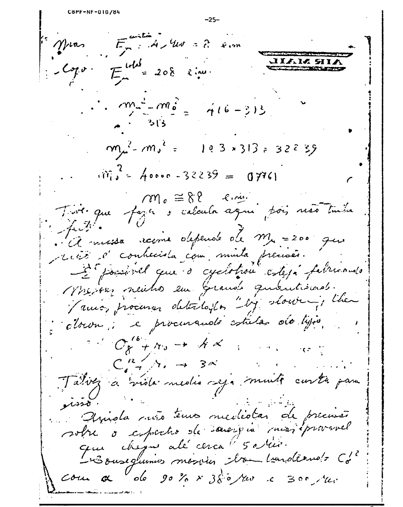CBPF-NF-010/84  $-25 E_{\mu}^{anti}$  :  $A \times W$  =  $\lambda$  . <sup>1:</sup> Muas  $Logur = E^{\text{total}} = 208$   $lim$ I**ian sii The Company's Service**  $\therefore$   $\cos^2 - m_e^2 = \frac{1}{2} \times \frac{1}{2} = \frac{1}{2} \times 16 = 313$  $m_{\mu}^2 - m_{\nu}^2 = 103 \times 313 = 32235$  $\hat{m}_{ij}^2$  = 40000 -32239 = 07761  $\gamma_{\text{M}_c} \cong 8.8$  f.m. Tout que fazer y calcula aque poi, não tuda faith. Mr = 200 guessa racine depende de Mr = 200 gues recis s'conhecida com muita précisés. D'ipossimel que o cyclotron esteja fabricando Misions neutros em Grande quantismes. Paux, procurar detectoiles "by slower; then clour, e procurando estulas do lyso,  $C_{8} + \gamma_{0} \rightarrow A \times$  $C_{\bullet}^{R}$   $\rightarrow$  3x  $\mathbf{L}^{\text{max}}$  and  $\mathbf{L}^{\text{max}}$ Tating a viola media seja munto curta para isso Apista não tenos mediotas de precisão sobre o espectro de saverpia majéprevenel que cheque alé cerca d'5 avair.  $\cos \alpha$  a ob go to x 380 rue c 300 rue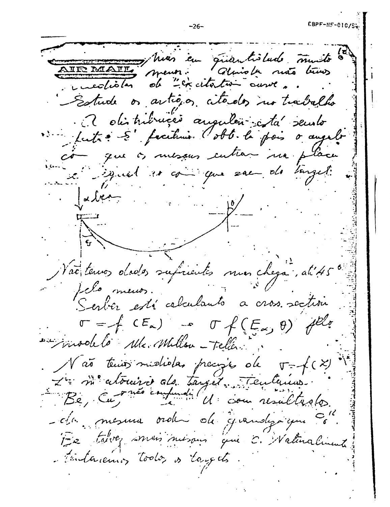, hias cu guantistado muito Glaisle ruts très incolister de "excitention ausse, Estude os artigos citados no trabalho 2 distribuição augulão : da seuro lutre S' facilier l'obb. le pois o augelo os mesans entrar ma placa a signal es coins que sen de songet:  $\int$  of  $\int$   $\frac{1}{2}$  $\frac{1}{\Lambda}$ Vac tenus dodos suficientes mon chega, ati45 felo menos. Serber está cabadanto a cros section  $\sigma = f(CE_{\alpha}) - \sigma f(E_{\alpha}, \theta)$ involto Me. Millon - Telles: Não tenior mididas precipio de  $T = \neq (x)$ Le me atomise de tangés Tenlemens. -c/a mesura order de grandysique 1-2 tarvez mon misour qui C. Walinalinente tentarements today is targets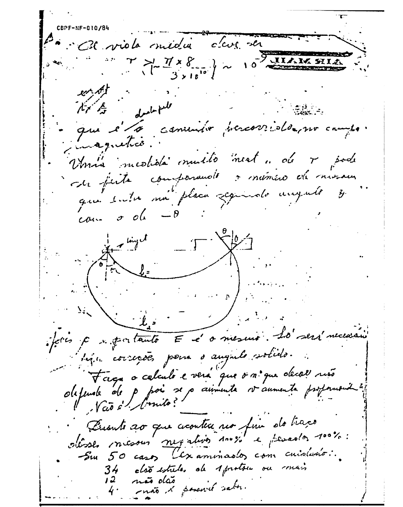C31 viole midia dag de  $\left\{\begin{array}{c}\n\searrow & \searrow & \searrow \\
\searrow & \searrow & \searrow & \searrow \\
\searrow & \searrow & \searrow & \searrow \\
\searrow & \searrow & \searrow & \searrow \\
\searrow & \searrow & \searrow & \searrow \\
\searrow & \searrow & \searrow & \searrow \\
\searrow & \searrow & \searrow & \searrow \\
\searrow & \searrow & \searrow & \searrow \\
\searrow & \searrow & \searrow & \searrow \\
\searrow & \searrow & \searrow & \searrow \\
\searrow & \searrow & \searrow & \searrow \\
\searrow & \searrow & \searrow & \searrow \\
\searrow & \searrow & \searrow & \searrow \\
\searrow & \$ drale full バズ que l'é commis percorridonne  $rac{1}{\sqrt{2}}$ inagnetico. Umis medida muito mest. de 7 pode Et finite component à mémine de misseur que suite ma placa seguide august y  $\cos \sigma$  of  $\theta$ in tinget  $\sqrt{ }$ jettes à se portants E et o mesure. Lo será necessaire bija correções pena o augulo solido. Tage a celaule e vere que o n. que decel rise defende de p poi se p ainmente vannente profonduit Personto 20 que aconteu no fin do traço ollose mesous negativos dous e perados doos. Sur 50 casos l'examinados com cuidados: clão estrelas da 1 protou ou conais mat & sound sabe.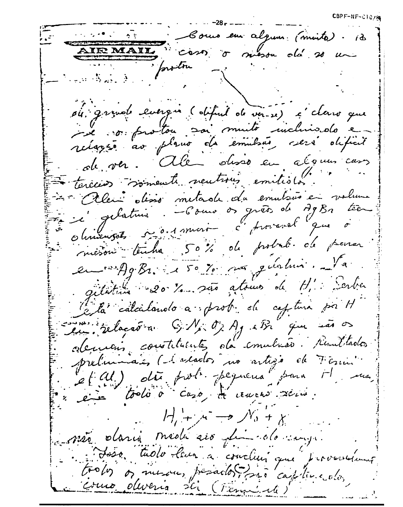$\texttt{CBPF-NF-CIO}$ 

Comme en alguns (moite). 13 AIRMAIL caso o meson de 20 un  $\mathbb{L}^{\infty}$  and  $\mathbb{E}^{\infty}$  . In the  $\mathbb{E}^{\infty}$ où grande evergne (objet de ver-21) c'elerro que i le vos protou sai muito incluisolo e ole ver. Ale observer alonne cars tereces somewh neutrous emitides. 47 Alen disso metade du emulsió en volume en c'estature. Como os grêts de AgBn tien misson tenha 50% de probab. de pour en 19982. 150% nos gentions giletime 20 %. são atoms de H. : Serber la calcalando a prob de captura por H sur relação a GN: O, Aj eBi que são Alexandris constituente, da emulsión resultados preliminaies (la seados no artigo de Formi et en toolo à caso, de courre servi.  $H_1 + x \rightarrow W_0 + x$ e não daria medicaio din dovenir. Loso. tudo leur a conclui que provencima trolos os mesus, periados para captura olos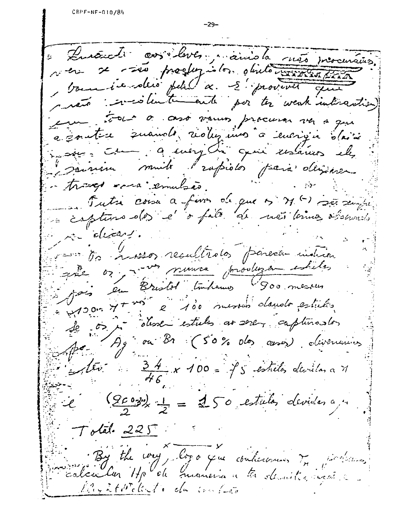Envoyedi avividaver prairie la més procurains. rem se voir proglegislos objetomments pour involtio petit a S' provent qui partir investmente por ter weak interaction) eu tout à asso vaus procura va a que a constru suando reduzino à energía davi insiens comme a every du quie resains eles sourire muite l'expider parà dériver. in tranger and emulses. Futri coisa a favor de que os M () sã sempre a capture des et o falo de mã termos observado pour décard. rento resultidos porecen indica que or promoce produzar estates Den Bristol (Inhamo Goo messus \* +1000 71 mai 2 100 mesous dander estulis Le os i desse estulos ar seres capturastos Ag ou Br (50% des ceses) divenuus  $\frac{34}{46}$  x 100 =  $\frac{3}{10}$  estrela, devidas a M  $\frac{(9002)}{2} \times \frac{1}{2} = 250$  estudos devides a m  $T$ olal.  $225$ By the way, boys you continuous 7, partitions colon la Hp Coh maneira a ta demitis incere layatheticlento du contra